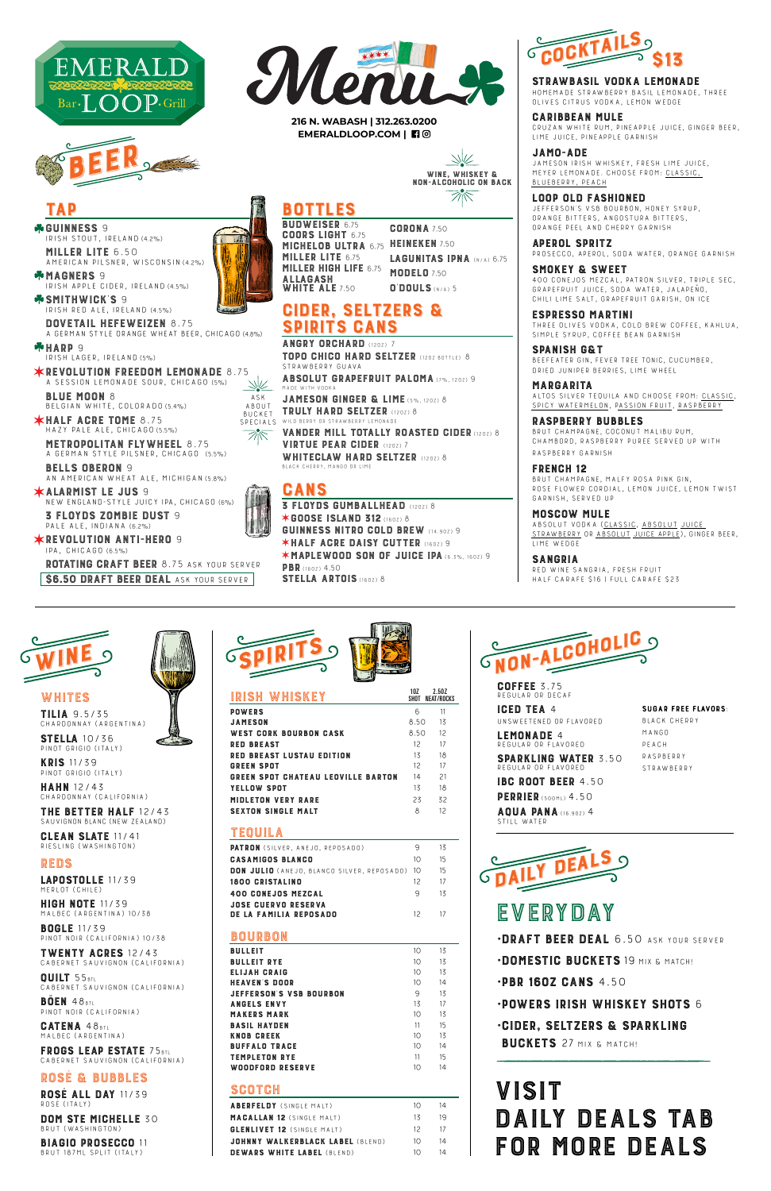COFFEE 3.75 Regular or decaf

I**GED IEA** 4<br>Unsweetenedig Unsweetened or flavored

SPARKLING WATER 3.50 Regular or flavored

IBC ROOT BEER 4.50 PERRIER (500ML) 4.50

LEMONADE 4 Regular or flavored

AQUA PANA (16.9OZ) 4 Still water

TILIA 9.5/35 Chardonnay (Argentina)

SIELLA IO/35<br>Pinot Grigio (Italy)

MERLOT (CHILE)<br>HIGH NOTE 11/39 HIGH NOTE 11/39 Malbec (Argentina) 10/38

KRIS 11/39 Pinot Grigio (Italy)

HAHN 12/43 Chardonnay (California)

**THE BETTER HALF** T2743<br>Sauvignon Blanc (New Zealand)

**ROSE ALL DAY 11/39** Rosé (Italy)

CLEAN SLATE 11/41 Riesling (Washington)



DOM STE MICHELLE 30 Brut (Washington)

REDS

•CIDER, SELTZERS & SPARKLING BUCKETS 27 MIX & MATCH!

BOGLE 11/39 Pinot Noir (California) 10/38

**IWENIY AGRES** 12743<br>CABERNET SAUVIGNON (CALIFORNIA)

QUILT 55BTL Cabernet Sauvignon (California)

BÖEN 48BTL Pinot Noir (California)

CATENA 48BTL Malbec (Argentina)

FRUGS LEAP ESIAIE / 5BTL<br>Cabernet Sauvignon (California)

ROSÉ & BUBBLES

BIAGIO PROSECCO 11 Brut 187ml split (Italy)

•DOMESTIC BUCKETS 19 MIX & MATCH!

•PBR 16OZ CANS 4.50



### •POWERS IRISH WHISKEY SHOTS 6



WHITES<br>TILIA 9.5/35

ANGRY URGHARD (1202) /<br>Todo culco uadd eels TOPO CHICO HARD SELTZER (12OZ BOTTLE) 8 Strawberry Guava

ABSOLUT GRAPEFRUIT PALOMA (7%, 1202) 9

**JAMESON GINGER & LIME (5%, 1202) 8**<br>TRULY HARD SELTZER (1202) 8 BUCKET **I RULY HARU SELIZER** (1202) 8<br>Specials Wild Berry or Strawberry Lemonade BUCKET

VANDER MILL TOTALLY ROASTED CIDER (1202) 8<br>VIRTUE PEAR CIDER (1202) 7 VIRTUE PEAR GIDER (1202) 7<br>WHITEOLAW HADD SELTZE WHITEULAW HARD SELIZER (1202) 8<br>Black Cherry, Mango or Lime  $SPEUIALS$ 

SPIRITS

**GANS**<br>3 FLOYDS GUMBALLHEAD (1202) 8<br>\*COOSE ISLAND 710 ✶GOOSE ISLAND 312 (16OZ) 8 GUINNESS NITRO COLD BREW (14.9OZ) 9 ✶HALF ACRE DAISY CUTTER (16OZ) 9 ✶MAPLEWOOD SON OF JUICE IPA (6.3%, 16OZ) 9 PBR (160Z) 4.50 STELLA ARTOIS (160Z) 8



### STRAWBASIL VODKA LEMONADE



| <b>DUN JULIU</b> (ANEJO, BLANCO SILVER, REPOSADO) TO |                 | כ ו |
|------------------------------------------------------|-----------------|-----|
| 1800 CRISTALINO                                      | 12 <sup>2</sup> | 17  |
| 400 CONEJOS MEZCAL                                   | 9               | 13  |
| <b>JOSE CUERVO RESERVA</b>                           |                 |     |
| DE LA FAMILIA REPOSADO                               | 12              | 17  |
|                                                      |                 |     |
| BOURBON                                              |                 |     |
| <b>BULLEIT</b>                                       | 10              | 13  |
| <b>BULLEIT RYE</b>                                   | 10 <sup>2</sup> | 13  |
| ELIJAH CRAIG                                         | 10 <sup>2</sup> | 13  |
| <b>HEAVEN'S DOOR</b>                                 | 10              | 14  |
| <b>JEFFERSON'S VSB BOURBON</b>                       | 9               | 13  |
| <b>ANGELS ENVY</b>                                   | 13              | 17  |
| <b>MAKERS MARK</b>                                   | 10              | 13  |
| <b>BASIL HAYDEN</b>                                  | 11              | 15  |
| <b>KNOB CREEK</b>                                    | 10 <sup>°</sup> | 13  |
| <b>BUFFALO TRACE</b>                                 | 10              | 14  |
| <b>TEMPLETON RYE</b>                                 | 11              | 15  |
| WOODFORD RESERVE                                     | 10              | 14  |
|                                                      |                 |     |

## **SCOTCH**

**\*GUINNESS 9** GUINNESS 9 Irish stout, Ireland (4.2%)

| <b>ABERFELDY</b> (SINGLE MALT)    | $1 \cap$ | 14  |
|-----------------------------------|----------|-----|
| <b>MACALLAN 12 (SINGLE MALT)</b>  | 13       | 19  |
| <b>GLENLIVET 12</b> (SINGLE MALT) | 12       | -17 |
| JOHNNY WALKERBLACK LABEL (BLEND)  | $1 \cap$ | 14  |
| <b>DEWARS WHITE LABEL (BLEND)</b> | $1 \cap$ | 14  |

**·DRAFT BEER DEAL 6.50 ASK YOUR SERVER** 

| IRISH WHISKEY                             | 10Z    | 2.50Z<br>SHOT NEAT/ROCKS |
|-------------------------------------------|--------|--------------------------|
| <b>POWERS</b>                             | 6      | 11                       |
| JAMESON                                   | 8.50   | 13                       |
| WEST CORK BOURBON CASK                    | 8.50   | 12                       |
| <b>RED BREAST</b>                         | 12     | 17                       |
| <b>RED BREAST LUSTAU EDITION</b>          | 13     | 18                       |
| <b>GREEN SPOT</b>                         | 12     | 17                       |
| <b>GREEN SPOT CHATEAU LEOVILLE BARTON</b> | 14     | 21                       |
| <b>YELLOW SPOT</b>                        | 13     | 18                       |
| <b>MIDLETON VERY RARE</b>                 | 23     | 32                       |
| <b>SEXTON SINGLE MALT</b>                 | 8      | 12                       |
| TEQUILA                                   |        |                          |
| <b>DATDOM</b> (CHIVED ANEIO BEDOCADO)     | $\cap$ | 17                       |

**PATRON** (SILVER, ANEJO, REPOSADO) 9 15<br>OLOLOLOGO DILINOS CASAMIGUS BLANCU<br>Ran IIII 10 (10010 200102 2003) 2002 2003 2004 15

3 FLOYDS ZOMBIE DUST 9 PALE ALE, INDIANA (6.2%)

SI**RAWBASIL VUUNA LEMUNAUE**<br>Homemade strawberry basil lemonade, Three<br>Quives strus vorka lemon werge Olives Citrus Vodka, Lemon Wedge

Sugar free flavors:

**LOOP OLD FASHIONED**<br>JEFFERSON'S VSB BOURBON, HONEY SYRUP, ORANGE BITTERS, ANGOSTURA BITTERS, orange peel and cherry garnish

Black Cherry Mango PEACH<br>RASPBERRY Raspberry

Strawberry





ASK<br>ABOUT

LAPOSTOLLE 11/39

#### SMUNEY & SWEET<br>400 Conejos Mezcal, patron Silver, Triple Sec,<br>SBARESBULT, UUSE, SORA WATER, LALAREÑO Grapefruit Juice, Soda Water, Jalapeño, Chili Lime Salt, grapefruit garish, on ice

**ESPRESSU MARTINI**<br>Three olives vodka, cold brew coffee, kahlua,<br>Simple synud, coefee bean capnish simple syrup, coffee bean garnish

SPANISH G& I<br>Beefeater gin, Fever Tree Tonic, cucumber,<br>Baler, Unuaer Berales, Lime Wueel dried juniper berries, lime wheel

**MARGARITA**<br>ALTOS SILVER TEQUILA AND CHOOSE FROM: CLASSIC, SPICY WATERMELON, PASSION FRUIT, RASPBERRY

RASPBERRY BUBBLES<br>BRUT CHAMPAGNE, COCONUT MALIBU RUM, CHAMBORD, RASPBERRY PUREE SERVED UP WITH raspberry garnish

FRENCH 12<br>BRUT CHAMPAGNE, MALFY ROSA PINK GIN, BRUT CHAMPAGNE, MALFY RUSA PINK GIN,<br>DOSE ELOWED CODDIAL, LEMON, HILCE, LEN RUSE FLUWER GURDIAL, LEMUN JUIGE, LEMUN TWIST<br>CANNICH - SENVEN UN garnish, Served up

**SANGRIA**<br>RED WINE SANGRIA, FRESH FRUIT Red wine sangria, fresh fruit Half Carafe \$16 | Full Carafe \$23

# VISIT<br>DAILY DEALS TAB DAILY DEALS TAB FOR MORE DEALS

**216 N. WABASH | 312.263.0200 EMERALDLOOP.COM |** 

WINE, WHISKEY &<br>I-AI COHOLIC ON RA NUN-ALCOHOLIC ON BACK

## **BOTTLES**<br>BUDWEISER 6.75

**COORS LIGHT 6.75** GUURS LIGHT 6.75<br>Michelor IIITDA MICHELOB ULTRA 6.75 HEINEKEN 7.50<br>MILLED LITE 6.75 – LAQUNITAS IN MILLER LIIE 6.75<br>MIIIED HIGH IIEI MILLER HIGH LIFE 6.75<br>Allacash ALLAGASH<br>White Ale WHITE ALE 7.50

**CORONA 7.50** LAGUNITAS IPNA (N/A) 6.75 **MODELO 7.50** O'DOULS (N/A) 5

## **CIDER, SELTZERS &<br>SPIRITS CANS SPIRITS GANS**<br>Angry Orchard (1202) 7

MILLER LITE 6.50 American pilsner, Wisconsin (4.2%)

MAGNERS 9 Irish apple cider, Ireland (4.5%)

SMITHWIGKS 9<br>Irish Red Ale, Ireland (4.5%)

DOVETAIL HEFEWEIZEN 8.75 a German style orange wheat beer, CHICAGO (4.8%)

HARP 9 Irish lager, Ireland (5%)

**\*REVOLUTION FREEDOM LEMONADE 8.75** A SESSION LEMONADE SOUR, CHICAGO (5%)<br>BLUE MOON 8

BLUE MOON 8 Belgian white, Colorado (5.4%)

HALF ACRE TOME 8.75 hazy pale ale, Chicago (5.5%)

METROPOLITAN FLYWHEEL 8.75 A German style pilsner, Chicago (5.5%)

BELLS OBERON 9 An American Wheat Ale, Michigan (5.8%)

ALARMIST LE JUS 9 New England-Style Juicy IPA, Chicago (6%)

REVOLUTION ANTI-HERO 9 IPA, Chicago (6.5%)

ROTATING CRAFT BEER 8.75 ASK YOUR SERVER **\$6.50 DRAFT BEER DEAL ASK YOUR SERVER** 



CARIBBEAN MULE Cruzan white rum, pineapple juice, ginger beer, lime juice, pineapple garnish

JAMO-ADE Jameson Irish Whiskey, fresh lime juice, Meyer lemonade. choose from: Classic, Blueberry, Peach

APEROL SPRITZ Prosecco, Aperol, soda water, orange garnish

MOSCOW MULE Absolut vodka (Classic, Absolut Juice Strawberry or Absolut Juice Apple), ginger beer, lime wedge